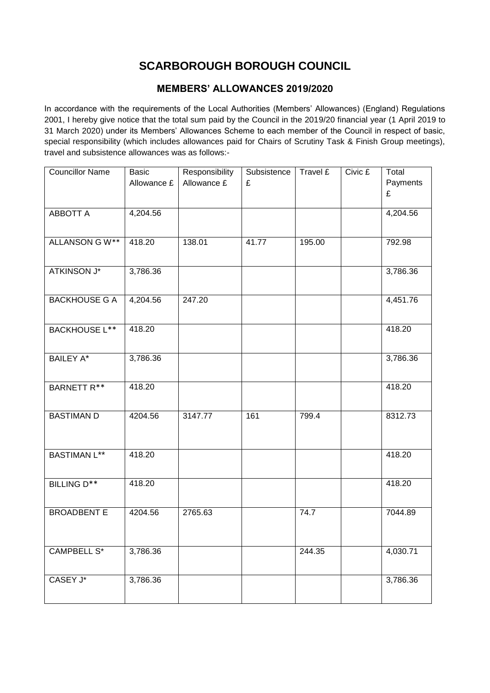## **SCARBOROUGH BOROUGH COUNCIL**

## **MEMBERS' ALLOWANCES 2019/2020**

In accordance with the requirements of the Local Authorities (Members' Allowances) (England) Regulations 2001, I hereby give notice that the total sum paid by the Council in the 2019/20 financial year (1 April 2019 to 31 March 2020) under its Members' Allowances Scheme to each member of the Council in respect of basic, special responsibility (which includes allowances paid for Chairs of Scrutiny Task & Finish Group meetings), travel and subsistence allowances was as follows:-

| <b>Councillor Name</b> | Basic       | Responsibility | Subsistence | Travel £ | Civic £ | Total         |
|------------------------|-------------|----------------|-------------|----------|---------|---------------|
|                        | Allowance £ | Allowance £    | £           |          |         | Payments<br>£ |
| <b>ABBOTT A</b>        | 4,204.56    |                |             |          |         | 4,204.56      |
|                        |             |                |             |          |         |               |
| ALLANSON GW**          | 418.20      | 138.01         | 41.77       | 195.00   |         | 792.98        |
|                        |             |                |             |          |         |               |
| <b>ATKINSON J*</b>     | 3,786.36    |                |             |          |         | 3,786.36      |
|                        |             |                |             |          |         |               |
| <b>BACKHOUSE G A</b>   | 4,204.56    | 247.20         |             |          |         | 4,451.76      |
|                        | 418.20      |                |             |          |         | 418.20        |
| <b>BACKHOUSE L**</b>   |             |                |             |          |         |               |
| <b>BAILEY A*</b>       | 3,786.36    |                |             |          |         | 3,786.36      |
|                        |             |                |             |          |         |               |
| <b>BARNETT R**</b>     | 418.20      |                |             |          |         | 418.20        |
|                        |             |                |             |          |         |               |
| <b>BASTIMAN D</b>      | 4204.56     | 3147.77        | 161         | 799.4    |         | 8312.73       |
|                        |             |                |             |          |         |               |
| <b>BASTIMAN L**</b>    | 418.20      |                |             |          |         | 418.20        |
|                        |             |                |             |          |         |               |
| BILLING D**            | 418.20      |                |             |          |         | 418.20        |
|                        |             |                |             |          |         |               |
| <b>BROADBENT E</b>     | 4204.56     | 2765.63        |             | 74.7     |         | 7044.89       |
|                        |             |                |             |          |         |               |
| <b>CAMPBELL S*</b>     | 3,786.36    |                |             | 244.35   |         | 4,030.71      |
|                        |             |                |             |          |         |               |
| CASEY J*               | 3,786.36    |                |             |          |         | 3,786.36      |
|                        |             |                |             |          |         |               |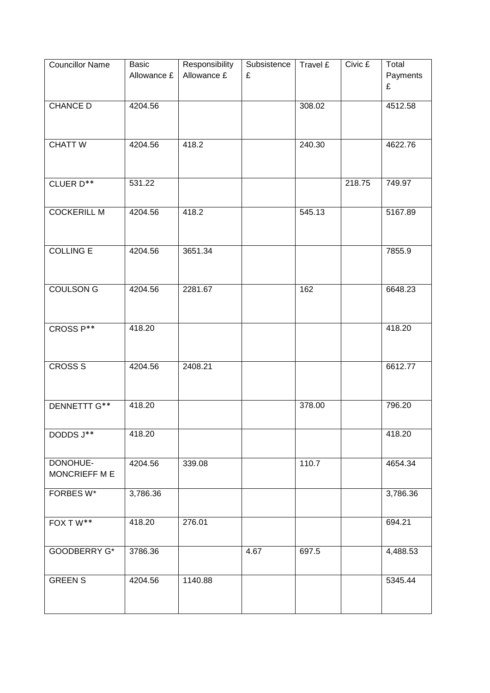| <b>Councillor Name</b>           | Basic<br>Allowance £ | Responsibility<br>Allowance £ | Subsistence<br>£ | Travel £ | Civic £ | Total<br>Payments<br>£ |
|----------------------------------|----------------------|-------------------------------|------------------|----------|---------|------------------------|
| <b>CHANCE D</b>                  | 4204.56              |                               |                  | 308.02   |         | 4512.58                |
| <b>CHATT W</b>                   | 4204.56              | 418.2                         |                  | 240.30   |         | 4622.76                |
| CLUER D**                        | 531.22               |                               |                  |          | 218.75  | 749.97                 |
| <b>COCKERILL M</b>               | 4204.56              | 418.2                         |                  | 545.13   |         | 5167.89                |
| <b>COLLING E</b>                 | 4204.56              | 3651.34                       |                  |          |         | 7855.9                 |
| <b>COULSON G</b>                 | 4204.56              | 2281.67                       |                  | 162      |         | 6648.23                |
| CROSS P**                        | 418.20               |                               |                  |          |         | 418.20                 |
| <b>CROSS S</b>                   | 4204.56              | 2408.21                       |                  |          |         | 6612.77                |
| DENNETTT G**                     | 418.20               |                               |                  | 378.00   |         | 796.20                 |
| DODDS J**                        | 418.20               |                               |                  |          |         | 418.20                 |
| DONOHUE-<br><b>MONCRIEFF M E</b> | 4204.56              | 339.08                        |                  | 110.7    |         | 4654.34                |
| FORBES W*                        | 3,786.36             |                               |                  |          |         | 3,786.36               |
| $FOX T W**$                      | 418.20               | 276.01                        |                  |          |         | 694.21                 |
| GOODBERRY G*                     | 3786.36              |                               | 4.67             | 697.5    |         | 4,488.53               |
| <b>GREEN S</b>                   | 4204.56              | 1140.88                       |                  |          |         | 5345.44                |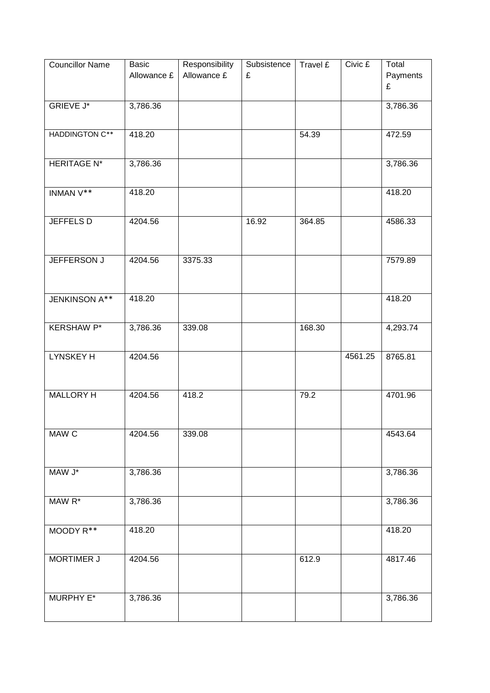| <b>Councillor Name</b> | <b>Basic</b><br>Allowance £ | Responsibility<br>Allowance £ | Subsistence<br>£ | Travel £ | Civic £ | Total<br>Payments<br>£ |
|------------------------|-----------------------------|-------------------------------|------------------|----------|---------|------------------------|
| <b>GRIEVE J*</b>       | 3,786.36                    |                               |                  |          |         | 3,786.36               |
| <b>HADDINGTON C**</b>  | 418.20                      |                               |                  | 54.39    |         | 472.59                 |
| <b>HERITAGE N*</b>     | 3,786.36                    |                               |                  |          |         | 3,786.36               |
| INMAN V**              | 418.20                      |                               |                  |          |         | 418.20                 |
| <b>JEFFELS D</b>       | 4204.56                     |                               | 16.92            | 364.85   |         | 4586.33                |
| JEFFERSON J            | 4204.56                     | 3375.33                       |                  |          |         | 7579.89                |
| JENKINSON A**          | 418.20                      |                               |                  |          |         | 418.20                 |
| <b>KERSHAW P*</b>      | 3,786.36                    | 339.08                        |                  | 168.30   |         | 4,293.74               |
| <b>LYNSKEY H</b>       | 4204.56                     |                               |                  |          | 4561.25 | 8765.81                |
| MALLORY H              | 4204.56                     | 418.2                         |                  | 79.2     |         | 4701.96                |
| MAW C                  | 4204.56                     | 339.08                        |                  |          |         | 4543.64                |
| MAW J*                 | 3,786.36                    |                               |                  |          |         | 3,786.36               |
| MAW R*                 | 3,786.36                    |                               |                  |          |         | 3,786.36               |
| MOODY R**              | 418.20                      |                               |                  |          |         | 418.20                 |
| <b>MORTIMER J</b>      | 4204.56                     |                               |                  | 612.9    |         | 4817.46                |
| MURPHY E*              | 3,786.36                    |                               |                  |          |         | 3,786.36               |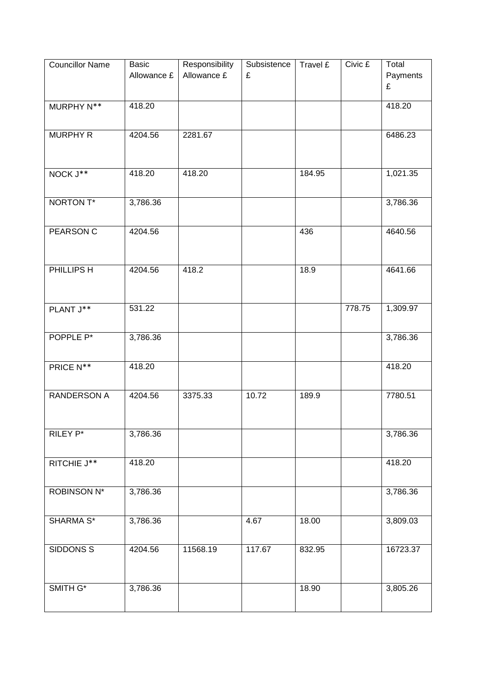| <b>Councillor Name</b> | <b>Basic</b><br>Allowance £ | Responsibility<br>Allowance £ | Subsistence<br>£ | Travel £ | Civic £ | Total<br>Payments<br>£ |
|------------------------|-----------------------------|-------------------------------|------------------|----------|---------|------------------------|
| MURPHY N**             | 418.20                      |                               |                  |          |         | 418.20                 |
| <b>MURPHY R</b>        | 4204.56                     | 2281.67                       |                  |          |         | 6486.23                |
| NOCK J**               | 418.20                      | 418.20                        |                  | 184.95   |         | 1,021.35               |
| NORTON T*              | 3,786.36                    |                               |                  |          |         | 3,786.36               |
| <b>PEARSON C</b>       | 4204.56                     |                               |                  | 436      |         | 4640.56                |
| PHILLIPS H             | 4204.56                     | 418.2                         |                  | 18.9     |         | 4641.66                |
| PLANT J**              | 531.22                      |                               |                  |          | 778.75  | 1,309.97               |
| POPPLE P*              | 3,786.36                    |                               |                  |          |         | 3,786.36               |
| PRICE N**              | 418.20                      |                               |                  |          |         | 418.20                 |
| <b>RANDERSON A</b>     | 4204.56                     | 3375.33                       | 10.72            | 189.9    |         | 7780.51                |
| RILEY P*               | 3,786.36                    |                               |                  |          |         | 3,786.36               |
| RITCHIE $J^{\ast\ast}$ | 418.20                      |                               |                  |          |         | 418.20                 |
| <b>ROBINSON N*</b>     | 3,786.36                    |                               |                  |          |         | 3,786.36               |
| SHARMA <sub>S</sub> *  | 3,786.36                    |                               | 4.67             | 18.00    |         | 3,809.03               |
| SIDDONS <sub>S</sub>   | 4204.56                     | 11568.19                      | 117.67           | 832.95   |         | 16723.37               |
| SMITH G*               | 3,786.36                    |                               |                  | 18.90    |         | 3,805.26               |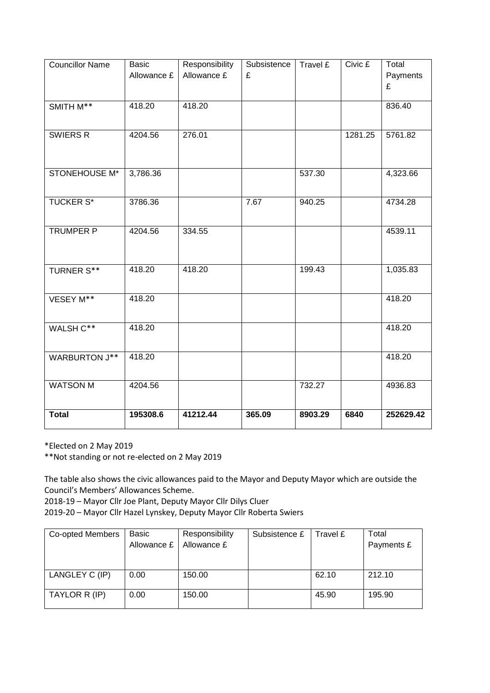| <b>Councillor Name</b> | <b>Basic</b> | Responsibility | Subsistence | Travel £ | Civic £ | Total     |
|------------------------|--------------|----------------|-------------|----------|---------|-----------|
|                        | Allowance £  | Allowance £    | £           |          |         | Payments  |
|                        |              |                |             |          |         | £         |
|                        |              |                |             |          |         |           |
| SMITH M**              | 418.20       | 418.20         |             |          |         | 836.40    |
|                        |              |                |             |          |         |           |
| SWIERS R               | 4204.56      | 276.01         |             |          | 1281.25 | 5761.82   |
|                        |              |                |             |          |         |           |
|                        |              |                |             |          |         |           |
|                        |              |                |             |          |         |           |
| STONEHOUSE M*          | 3,786.36     |                |             | 537.30   |         | 4,323.66  |
|                        |              |                |             |          |         |           |
| <b>TUCKER S*</b>       | 3786.36      |                | 7.67        | 940.25   |         | 4734.28   |
|                        |              |                |             |          |         |           |
|                        |              |                |             |          |         |           |
| TRUMPER P              | 4204.56      | 334.55         |             |          |         | 4539.11   |
|                        |              |                |             |          |         |           |
|                        |              |                |             |          |         |           |
| <b>TURNER S**</b>      | 418.20       | 418.20         |             | 199.43   |         | 1,035.83  |
|                        |              |                |             |          |         |           |
|                        |              |                |             |          |         |           |
| VESEY M**              | 418.20       |                |             |          |         | 418.20    |
|                        |              |                |             |          |         |           |
| WALSH C**              | 418.20       |                |             |          |         | 418.20    |
|                        |              |                |             |          |         |           |
|                        |              |                |             |          |         |           |
| <b>WARBURTON J**</b>   | 418.20       |                |             |          |         | 418.20    |
|                        |              |                |             |          |         |           |
| <b>WATSON M</b>        | 4204.56      |                |             | 732.27   |         | 4936.83   |
|                        |              |                |             |          |         |           |
|                        |              |                |             |          |         |           |
| <b>Total</b>           | 195308.6     | 41212.44       | 365.09      | 8903.29  | 6840    | 252629.42 |

\*Elected on 2 May 2019

\*\*Not standing or not re-elected on 2 May 2019

The table also shows the civic allowances paid to the Mayor and Deputy Mayor which are outside the Council's Members' Allowances Scheme.

2018-19 – Mayor Cllr Joe Plant, Deputy Mayor Cllr Dilys Cluer

2019-20 – Mayor Cllr Hazel Lynskey, Deputy Mayor Cllr Roberta Swiers

| Co-opted Members | Basic       | Responsibility | Subsistence £ | Travel £ | Total      |
|------------------|-------------|----------------|---------------|----------|------------|
|                  | Allowance £ | Allowance £    |               |          | Payments £ |
|                  |             |                |               |          |            |
|                  |             |                |               |          |            |
| LANGLEY C (IP)   | 0.00        | 150.00         |               | 62.10    | 212.10     |
|                  |             |                |               |          |            |
| TAYLOR R (IP)    | 0.00        | 150.00         |               | 45.90    | 195.90     |
|                  |             |                |               |          |            |